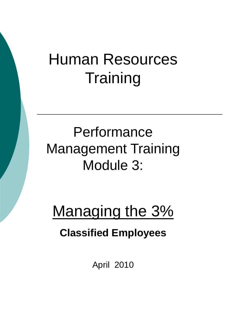# Human Resources **Training**

# **Performance** Management Training Module 3:

# Managing the 3%

#### **Classified Employees**

April 2010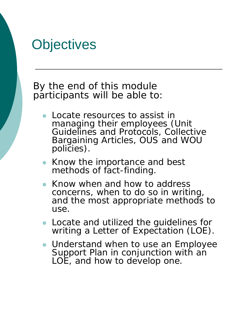#### **Objectives**

 By the end of this module participants will be able to:

- Locate resources to assist in managing their employees (Unit Guidelines and Protocols, Collective Bargaining Articles, OUS and WOU policies).
- Know the importance and best methods of fact-finding.
- Know when and how to address concerns, when to do so in writing, and the most appropriate methods to use.
- Locate and utilized the guidelines for writing a Letter of Expectation (LOE).
- Understand when to use an Employee Support Plan in conjunction with an LOE, and how to develop one.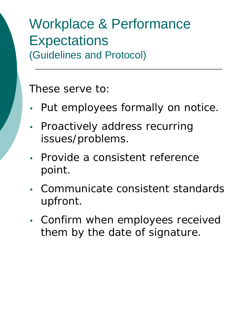#### Workplace & Performance **Expectations** (Guidelines and Protocol)

These serve to:

- Put employees formally on notice.
- Proactively address recurring issues/problems.
- Provide a consistent reference point.
- Communicate consistent standards upfront.
- Confirm when employees received them by the date of signature.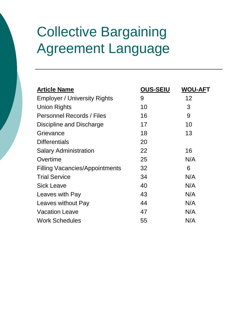# Collective Bargaining Agreement Language

| <b>Article Name</b>                   | <b>OUS-SEIU</b> | <b>WOU-AFT</b> |
|---------------------------------------|-----------------|----------------|
| <b>Employer / University Rights</b>   | 9               | 12             |
| <b>Union Rights</b>                   | 10              | 3              |
| Personnel Records / Files             | 16              | 9              |
| Discipline and Discharge              | 17              | 10             |
| Grievance                             | 18              | 13             |
| <b>Differentials</b>                  | 20              |                |
| <b>Salary Administration</b>          | 22              | 16             |
| Overtime                              | 25              | N/A            |
| <b>Filling Vacancies/Appointments</b> | 32              | 6              |
| <b>Trial Service</b>                  | 34              | N/A            |
| <b>Sick Leave</b>                     | 40              | N/A            |
| Leaves with Pay                       | 43              | N/A            |
| Leaves without Pay                    | 44              | N/A            |
| <b>Vacation Leave</b>                 | 47              | N/A            |
| <b>Work Schedules</b>                 | 55              | N/A            |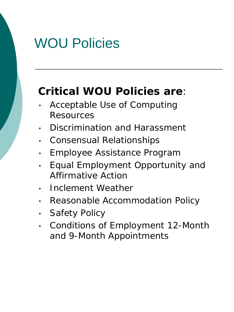### WOU Policies

#### **Critical WOU Policies are**:

- Acceptable Use of Computing **Resources**
- Discrimination and Harassment
- Consensual Relationships
- Employee Assistance Program
- Equal Employment Opportunity and Affirmative Action
- Inclement Weather
- Reasonable Accommodation Policy
- Safety Policy
- Conditions of Employment 12-Month and 9-Month Appointments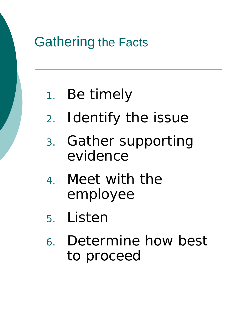# Gathering the Facts

### 1. Be timely

- 2. Identify the issue
- 3. Gather supporting evidence
- 4. Meet with the employee
- 5. Listen
- 6. Determine how best to proceed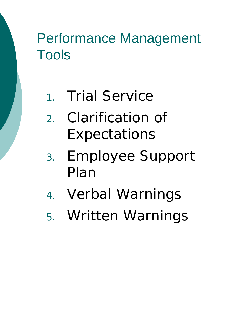# Performance Management Tools

- 1. Trial Service
- 2. Clarification of Expectations
- 3. Employee Support Plan
- 4. Verbal Warnings
- 5. Written Warnings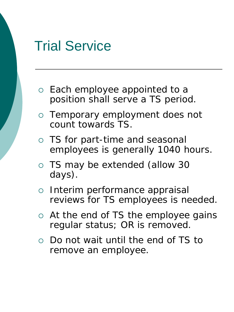#### Trial Service

- Each employee appointed to a position shall serve a TS period.
- Temporary employment does not count towards TS.
- TS for part-time and seasonal employees is generally 1040 hours.
- TS may be extended (allow 30 days).
- o Interim performance appraisal reviews for TS employees is needed.
- At the end of TS the employee gains regular status; OR is removed.
- Do not wait until the end of TS to remove an employee.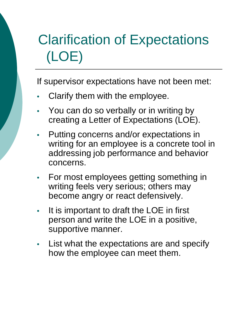# Clarification of Expectations (LOE)

If supervisor expectations have not been met:

- Clarify them with the employee.
- You can do so verbally or in writing by creating a Letter of Expectations (LOE).
- Putting concerns and/or expectations in writing for an employee is a concrete tool in addressing job performance and behavior concerns.
- For most employees getting something in writing feels very serious; others may become angry or react defensively.
- It is important to draft the LOE in first person and write the LOE in a positive, supportive manner.
- List what the expectations are and specify how the employee can meet them.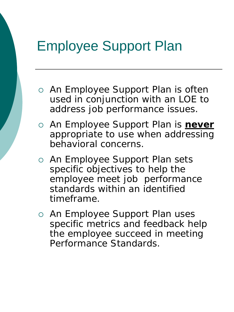### Employee Support Plan

- An Employee Support Plan is often used in conjunction with an LOE to address job performance issues.
- An Employee Support Plan is **never** appropriate to use when addressing behavioral concerns.
- o An Employee Support Plan sets specific objectives to help the employee meet job performance standards within an identified timeframe.
- o An Employee Support Plan uses specific metrics and feedback help the employee succeed in meeting Performance Standards.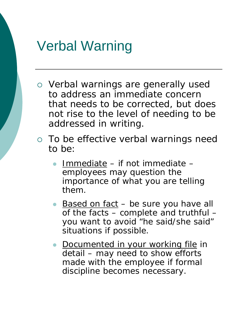#### Verbal Warning

- Verbal warnings are generally used to address an immediate concern that needs to be corrected, but does not rise to the level of needing to be addressed in writing.
- To be effective verbal warnings need to be:
	- Immediate if not immediate employees may question the importance of what you are telling them.
	- Based on fact be sure you have all of the facts – complete and truthful – you want to avoid "he said/she said" situations if possible.
	- **Documented in your working file in** detail – may need to show efforts made with the employee if formal discipline becomes necessary.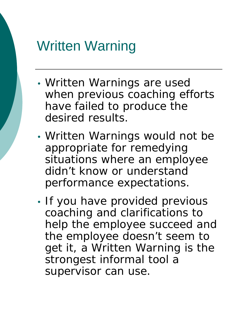#### Written Warning

- Written Warnings are used when previous coaching efforts have failed to produce the desired results.
- Written Warnings would not be appropriate for remedying situations where an employee didn't know or understand performance expectations.
- If you have provided previous coaching and clarifications to help the employee succeed and the employee doesn't seem to get it, a Written Warning is the strongest informal tool a supervisor can use.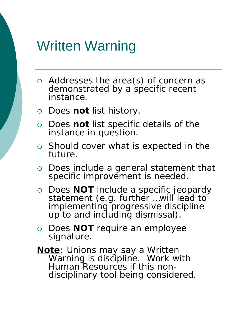#### Written Warning

- Addresses the area(s) of concern as demonstrated by a specific recent instance.
- Does **not** list history.
- Does **not** list specific details of the instance in question.
- $\circ$  Should cover what is expected in the future.
- Does include a general statement that specific improvement is needed.
- Does **NOT** include a specific jeopardy statement (e.g. further …will lead to implementing progressive discipline up to and including dismissal).
- Does **NOT** require an employee signature.
- **Note**: Unions may say a Written Warning is discipline. Work with Human Resources if this non- disciplinary tool being considered.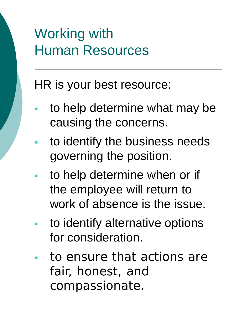# Working with Human Resources

HR is your best resource:

- to help determine what may be causing the concerns.
- to identify the business needs governing the position.
- to help determine when or if the employee will return to work of absence is the issue.
- to identify alternative options for consideration.
- to ensure that actions are fair, honest, and compassionate.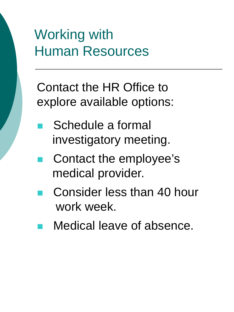# Working with Human Resources

Contact the HR Office to explore available options:

- Schedule a formal investigatory meeting.
- Contact the employee's medical provider.
- Consider less than 40 hour work week.
- Medical leave of absence.